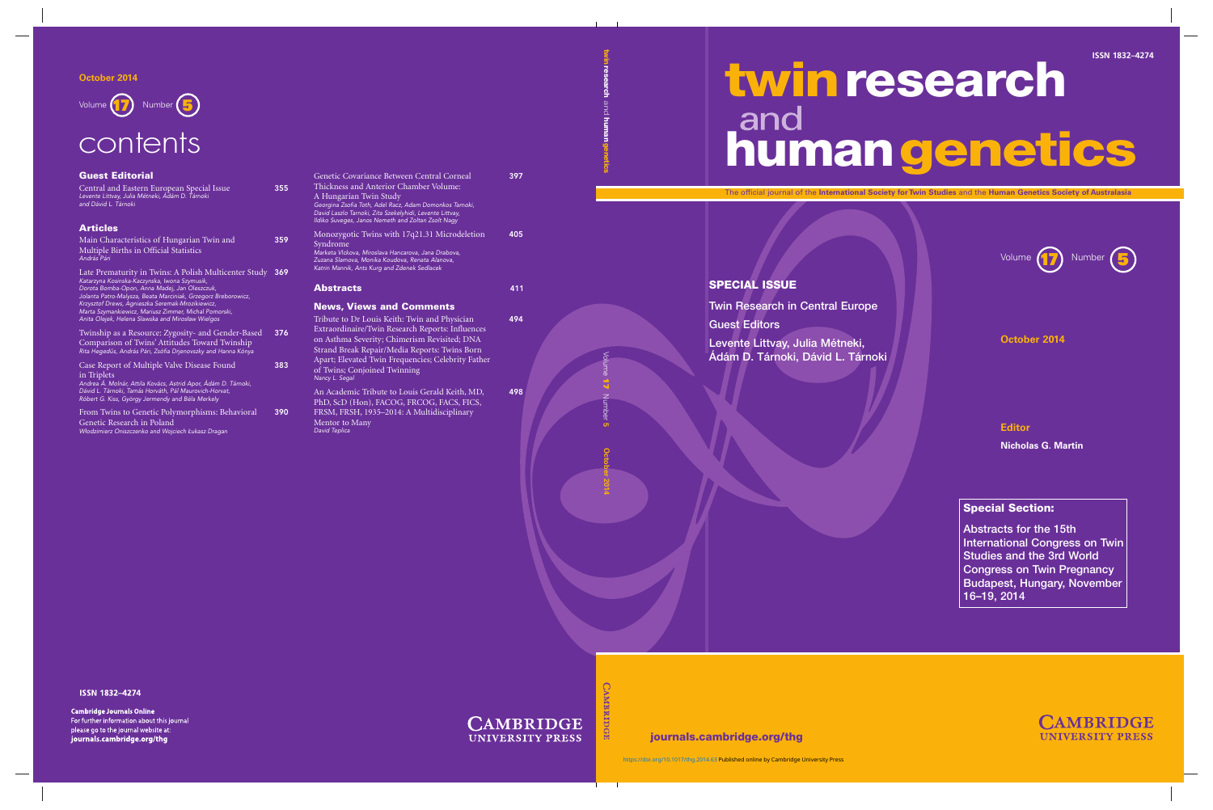# **twin research human genetics**

The official journal of the **International Society for Twin Studies** and the **Human Genetics Society of Australasia**

#### **SPECIAL ISSUE**

Twin Research in Central Europe Guest Editors Levente Littvay, Julia Métneki, Ádám D. Tárnoki, Dávid L. Tárnoki **Volume 17** Number 5

**October 2014**

#### **Editor**

**Nicholas G. Martin** 

#### **Special Section:**

Abstracts for the 15th International Congress on Twin Studies and the 3rd World Congress on Twin Pregnancy Budapest, Hungary, November 16–19, 2014



**journals.cambridge.org/thg**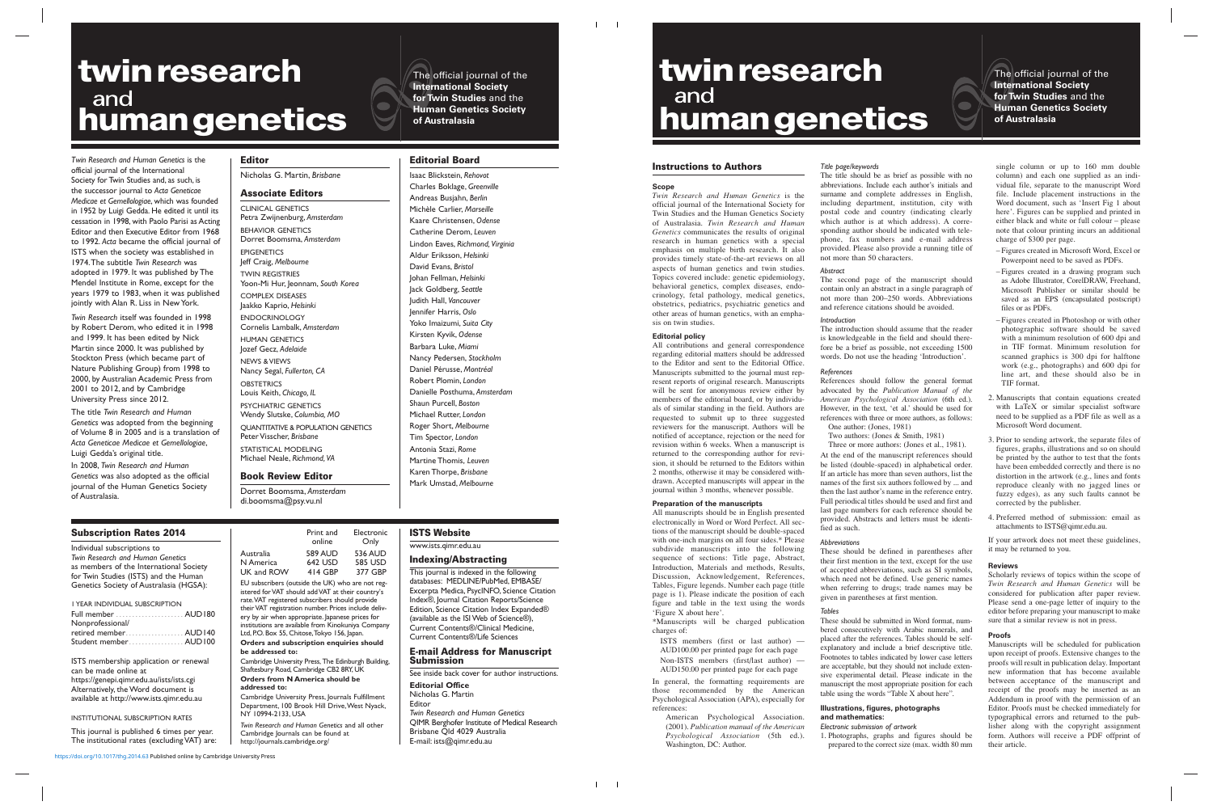### **twin research human genetics**

The official journal of the **International Society for Twin Studies** and the **Human Genetics Society of Australasia**

*Twin Research and Human Genetics* is the official journal of the International Society for Twin Studies and, as such, is the successor journal to *Acta Geneticae Medicae et Gemellologiae*, which was founded in 1952 by Luigi Gedda. He edited it until its cessation in 1998, with Paolo Parisi as Acting Editor and then Executive Editor from 1968 to 1992. *Acta* became the official journal of ISTS when the society was established in 1974. The subtitle *Twin Research* was adopted in 1979. It was published by The Mendel Institute in Rome, except for the years 1979 to 1983, when it was published jointly with Alan R. Liss in New York.

*Twin Research* itself was founded in 1998 by Robert Derom, who edited it in 1998 and 1999. It has been edited by Nick Martin since 2000. It was published by Stockton Press (which became part of Nature Publishing Group) from 1998 to 2000, by Australian Academic Press from 2001 to 2012, and by Cambridge University Press since 2012.

The title *Twin Research and Human Genetics* was adopted from the beginning of Volume 8 in 2005 and is a translation of *Acta Geneticae Medicae et Gemellologiae*, Luigi Gedda's original title.

In 2008, *Twin Research and Human Genetics* was also adopted as the official journal of the Human Genetics Society of Australasia.

#### **Editor**

Nicholas G. Martin, *Brisbane*

#### **Associate Editors**

CLINICAL GENETICS Petra Zwijnenburg, *Amsterdam*

BEHAVIOR GENETICS Dorret Boomsma, *Amsterdam*

**EPIGENETICS** Jeff Craig, *Melbourne*

TWIN REGISTRIES Yoon-Mi Hur, Jeonnam, *South Korea*

COMPLEX DISEASES Jaakko Kaprio, *Helsinki*

ENDOCRINOLOGY Cornelis Lambalk, *Amsterdam*

HUMAN GENETICS Jozef Gecz, *Adelaide*

NEWS & VIEWS Nancy Segal, *Fullerton, CA* **OBSTETRICS** 

Louis Keith, *Chicago, IL*

PSYCHIATRIC GENETICS Wendy Slutske, *Columbia, MO*

QUANTITATIVE & POPULATION GENETICS Peter Visscher, *Brisbane*

STATISTICAL MODELING Michael Neale, *Richmond, VA*

#### **Book Review Editor**

Dorret Boomsma, *Amsterdam* di.boomsma@psy.vu.nl

#### **Editorial Board**

Isaac Blickstein, *Rehovot* Charles Boklage, *Greenville* Andreas Busjahn, *Berlin* Michèle Carlier, *Marseille* Kaare Christensen, *Odense* Catherine Derom, *Leuven* Lindon Eaves, *Richmond, Virginia* Aldur Eriksson, *Helsinki* David Evans, *Bristol* Johan Fellman, *Helsinki* Jack Goldberg, *Seattle* Judith Hall, *Vancouver* Jennifer Harris, *Oslo* Yoko Imaizumi, *Suita City* Kirsten Kyvik, *Odense* Barbara Luke, *Miami* Nancy Pedersen, *Stockholm* Daniel Pérusse, *Montréal* Robert Plomin, *London* Danielle Posthuma, *Amsterdam* Shaun Purcell, *Boston* Michael Rutter, *London* Roger Short, *Melbourne* Tim Spector*, London* Antonia Stazi, *Rome* Martine Thomis, *Leuven* Karen Thorpe, *Brisbane* Mark Umstad, *Melbourne*

#### **Subscription Rates 2014**

Individual subscriptions to *Twin Research and Human Genetics* as members of the International Society for Twin Studies (ISTS) and the Human Genetics Society of Australasia (HGSA):

1 YEAR INDIVIDUAL SUBSCRIPTION

| Full member  AUD180   |  |
|-----------------------|--|
| Nonprofessional/      |  |
| retired member AUD140 |  |
| Student member AUD100 |  |

ISTS membership application or renewal can be made online at https://genepi.qimr.edu.au/ists/ists.cgi Alternatively, the Word document is available at http://www.ists.qimr.edu.au

#### INSTITUTIONAL SUBSCRIPTION RATES

This journal is published 6 times per year. The institutional rates (excluding VAT) are:

|            | Print and<br>online | Electronic<br>Only |
|------------|---------------------|--------------------|
| Australia  | <b>589 AUD</b>      | <b>536 AUD</b>     |
| N America  | <b>642 USD</b>      | 585 USD            |
| UK and ROW | 414 GBP             | 377 GBP            |

EU subscribers (outside the UK) who are not registered for VAT should add VAT at their country's rate. VAT registered subscribers should provide their VAT registration number. Prices include delivery by air when appropriate. Japanese prices for institutions are available from Kinokuniya Company Ltd, P.O. Box 55, Chitose, Tokyo 156, Japan.

#### **Orders and subscription enquiries should be addressed to:**

Cambridge University Press, The Edinburgh Building, Shaftesbury Road, Cambridge CB2 8RY, UK

**Orders from N America should be addressed to:**

Cambridge University Press, Journals Fulfillment Department, 100 Brook Hill Drive, West Nyack, NY 10994-2133, USA

*Twin Research and Human Genetics* and all other Cambridge Journals can be found at http://journals.cambridge.org/

#### **ISTS Website**

www.ists.qimr.edu.au

#### **Indexing/Abstracting**

This journal is indexed in the following databases: MEDLINE/PubMed, EMBASE/ Excerpta Medica, PsycINFO, Science Citation Index®, Journal Citation Reports/Science Edition, Science Citation Index Expanded® (available as the ISI Web of Science®), Current Contents®/Clinical Medicine, Current Contents®/Life Sciences

#### **E-mail Address for Manuscript Submission**

See inside back cover for author instructions.

**Editorial Office**

Nicholas G. Martin Editor *Twin Research and Human Genetics* QIMR Berghofer Institute of Medical Research Brisbane Qld 4029 Australia E-mail: ists@qimr.edu.au